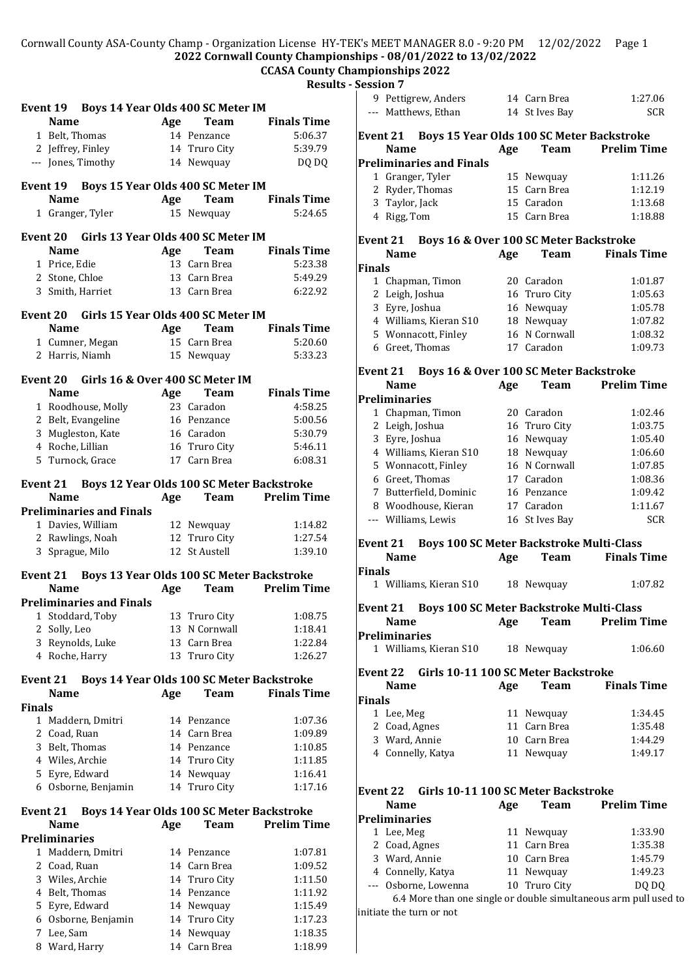## Cornwall County ASA-County Champ - Organization License HY-TEK's MEET MANAGER 8.0 - 9:20 PM 12/02/2022 Page 1 **2022 Cornwall County Championships - 08/01/2022 to 13/02/2022**

# **CCASA County Championships 2022**

**Results - Session 7**

|               | Event 19 Boys 14 Year Olds 400 SC Meter IM                        |                                                  |               |                                           |
|---------------|-------------------------------------------------------------------|--------------------------------------------------|---------------|-------------------------------------------|
|               | <b>Name</b>                                                       | Age                                              | Team          | <b>Finals Time</b>                        |
|               | 1 Belt, Thomas                                                    |                                                  | 14 Penzance   | 5:06.37                                   |
|               | 2 Jeffrey, Finley                                                 |                                                  | 14 Truro City | 5:39.79                                   |
|               | --- Jones, Timothy                                                |                                                  | 14 Newquay    | DQ DQ                                     |
|               | Event 19 Boys 15 Year Olds 400 SC Meter IM                        |                                                  |               |                                           |
|               | <b>Name</b>                                                       | Age                                              | Team          | <b>Finals Time</b>                        |
|               | 1 Granger, Tyler                                                  |                                                  | 15 Newquay    | 5:24.65                                   |
|               | Event 20 Girls 13 Year Olds 400 SC Meter IM                       |                                                  |               |                                           |
|               | <b>Name</b>                                                       | Age                                              | Team          | <b>Finals Time</b>                        |
|               | 1 Price, Edie                                                     |                                                  | 13 Carn Brea  | 5:23.38                                   |
|               | 2 Stone, Chloe                                                    |                                                  | 13 Carn Brea  | 5:49.29                                   |
|               | 3 Smith, Harriet                                                  |                                                  | 13 Carn Brea  | 6:22.92                                   |
|               | Event 20 Girls 15 Year Olds 400 SC Meter IM                       |                                                  |               |                                           |
|               | <b>Name</b>                                                       | Age                                              | Team          | Finals Time                               |
|               | 1 Cumner, Megan                                                   |                                                  | 15 Carn Brea  | 5:20.60                                   |
|               | 2 Harris, Niamh                                                   |                                                  | 15 Newquay    | 5:33.23                                   |
|               | Event 20 Girls 16 & Over 400 SC Meter IM                          |                                                  |               |                                           |
|               | <b>Name</b>                                                       | Age                                              | <b>Team</b>   | <b>Finals Time</b>                        |
|               | 1 Roodhouse, Molly                                                |                                                  | 23 Caradon    | 4:58.25                                   |
|               | 2 Belt, Evangeline                                                |                                                  | 16 Penzance   | 5:00.56                                   |
|               | 3 Mugleston, Kate                                                 |                                                  | 16 Caradon    | 5:30.79                                   |
|               | 4 Roche, Lillian                                                  |                                                  | 16 Truro City | 5:46.11                                   |
|               | 5 Turnock, Grace                                                  |                                                  | 17 Carn Brea  | 6:08.31                                   |
|               | Event 21                                                          |                                                  |               | Boys 12 Year Olds 100 SC Meter Backstroke |
|               | <b>Name</b>                                                       |                                                  | Age Team      | <b>Prelim Time</b>                        |
|               | <b>Preliminaries and Finals</b>                                   |                                                  |               |                                           |
|               | 1 Davies, William                                                 |                                                  | 12 Newquay    | 1:14.82                                   |
|               | 2 Rawlings, Noah                                                  |                                                  | 12 Truro City | 1:27.54                                   |
|               | 3 Sprague, Milo                                                   | 12                                               | St Austell    | 1:39.10                                   |
|               | Event 21 Boys 13 Year Olds 100 SC Meter Backstroke<br><b>Name</b> |                                                  | Team          | <b>Prelim Time</b>                        |
|               | <b>Preliminaries and Finals</b>                                   | Age                                              |               |                                           |
|               |                                                                   |                                                  |               |                                           |
| 2             | 1 Stoddard, Toby<br>Solly, Leo                                    | 13 Truro City                                    | 13 N Cornwall | 1:08.75<br>1:18.41                        |
| 3             |                                                                   |                                                  | 13 Carn Brea  |                                           |
| 4             | Reynolds, Luke                                                    | 13                                               |               | 1:22.84                                   |
|               | Roche, Harry                                                      |                                                  | Truro City    | 1:26.27                                   |
|               | <b>Event 21</b><br><b>Name</b>                                    | Boys 14 Year Olds 100 SC Meter Backstroke<br>Age | Team          | <b>Finals Time</b>                        |
| <b>Finals</b> |                                                                   |                                                  |               |                                           |
|               | 1 Maddern, Dmitri                                                 |                                                  | 14 Penzance   | 1:07.36                                   |
|               | 2 Coad, Ruan                                                      |                                                  | 14 Carn Brea  | 1:09.89                                   |
|               | 3 Belt, Thomas                                                    |                                                  | 14 Penzance   | 1:10.85                                   |
|               | 4 Wiles, Archie                                                   |                                                  | 14 Truro City | 1:11.85                                   |
|               | 5 Eyre, Edward                                                    |                                                  | 14 Newquay    | 1:16.41                                   |
|               | 6 Osborne, Benjamin                                               |                                                  | 14 Truro City | 1:17.16                                   |
|               | Event 21                                                          | Boys 14 Year Olds 100 SC Meter Backstroke        |               |                                           |
|               | <b>Name</b>                                                       | Age                                              | Team          | <b>Prelim Time</b>                        |
|               | Preliminaries                                                     |                                                  |               |                                           |
|               | 1 Maddern, Dmitri                                                 |                                                  | 14 Penzance   | 1:07.81                                   |
|               | 2 Coad, Ruan                                                      |                                                  | 14 Carn Brea  | 1:09.52                                   |
|               | 3 Wiles, Archie                                                   |                                                  | 14 Truro City | 1:11.50                                   |
|               | 4 Belt, Thomas                                                    |                                                  | 14 Penzance   | 1:11.92                                   |
|               | 5 Eyre, Edward                                                    |                                                  | 14 Newquay    | 1:15.49                                   |
|               | 6 Osborne, Benjamin                                               |                                                  | 14 Truro City | 1:17.23                                   |
| 7             | Lee, Sam                                                          | 14                                               | Newquay       | 1:18.35                                   |

8 Ward, Harry 14 Carn Brea 1:18.99

| сээічіі і     |                                                      |     |                |                                                                  |
|---------------|------------------------------------------------------|-----|----------------|------------------------------------------------------------------|
|               | 9 Pettigrew, Anders                                  |     | 14 Carn Brea   | 1:27.06                                                          |
|               | --- Matthews, Ethan                                  |     | 14 St Ives Bay | <b>SCR</b>                                                       |
|               |                                                      |     |                |                                                                  |
|               |                                                      |     |                |                                                                  |
|               | Event 21 Boys 15 Year Olds 100 SC Meter Backstroke   |     |                |                                                                  |
|               | <b>Name</b>                                          | Age | Team           | <b>Prelim Time</b>                                               |
|               | <b>Preliminaries and Finals</b>                      |     |                |                                                                  |
|               | 1 Granger, Tyler                                     |     | 15 Newquay     | 1:11.26                                                          |
|               | 2 Ryder, Thomas                                      |     | 15 Carn Brea   | 1:12.19                                                          |
|               | 3 Taylor, Jack                                       |     | 15 Caradon     | 1:13.68                                                          |
|               | 4 Rigg, Tom                                          |     | 15 Carn Brea   | 1:18.88                                                          |
|               |                                                      |     |                |                                                                  |
|               | Event 21 Boys 16 & Over 100 SC Meter Backstroke      |     |                |                                                                  |
|               | <b>Name</b>                                          | Age | <b>Team</b>    | <b>Finals Time</b>                                               |
| <b>Finals</b> |                                                      |     |                |                                                                  |
|               |                                                      |     |                |                                                                  |
|               | 1 Chapman, Timon                                     |     | 20 Caradon     | 1:01.87                                                          |
|               | 2 Leigh, Joshua                                      |     | 16 Truro City  | 1:05.63                                                          |
|               | 3 Eyre, Joshua                                       |     | 16 Newquay     | 1:05.78                                                          |
|               | 4 Williams, Kieran S10                               |     | 18 Newquay     | 1:07.82                                                          |
|               | 5 Wonnacott, Finley                                  |     | 16 N Cornwall  | 1:08.32                                                          |
|               | 6 Greet, Thomas                                      |     | 17 Caradon     | 1:09.73                                                          |
|               |                                                      |     |                |                                                                  |
|               | Event 21 Boys 16 & Over 100 SC Meter Backstroke      |     |                |                                                                  |
|               | <b>Name</b>                                          | Age | Team           | <b>Prelim Time</b>                                               |
|               | <b>Preliminaries</b>                                 |     |                |                                                                  |
|               |                                                      |     | 20 Caradon     | 1:02.46                                                          |
|               | 1 Chapman, Timon                                     |     |                |                                                                  |
|               | 2 Leigh, Joshua                                      |     | 16 Truro City  | 1:03.75                                                          |
|               | 3 Eyre, Joshua                                       |     | 16 Newquay     | 1:05.40                                                          |
|               | 4 Williams, Kieran S10                               |     | 18 Newquay     | 1:06.60                                                          |
|               | 5 Wonnacott, Finley                                  |     | 16 N Cornwall  | 1:07.85                                                          |
|               | 6 Greet, Thomas                                      |     | 17 Caradon     | 1:08.36                                                          |
|               | 7 Butterfield, Dominic                               |     | 16 Penzance    | 1:09.42                                                          |
|               | 8 Woodhouse, Kieran                                  |     | 17 Caradon     | 1:11.67                                                          |
|               | --- Williams, Lewis                                  |     | 16 St Ives Bay | <b>SCR</b>                                                       |
|               |                                                      |     |                |                                                                  |
|               | Boys 100 SC Meter Backstroke Multi-Class<br>Event 21 |     |                |                                                                  |
|               | <b>Name</b>                                          | Age | Team           | <b>Finals Time</b>                                               |
|               |                                                      |     |                |                                                                  |
| <b>Finals</b> |                                                      |     |                |                                                                  |
|               | 1 Williams, Kieran S10                               |     | 18 Newquay     | 1:07.82                                                          |
|               |                                                      |     |                |                                                                  |
|               | Event 21 Boys 100 SC Meter Backstroke Multi-Class    |     |                |                                                                  |
|               | <b>Name</b>                                          | Age | Team           | <b>Prelim Time</b>                                               |
|               | <b>Preliminaries</b>                                 |     |                |                                                                  |
|               | 1 Williams, Kieran S10                               |     | 18 Newquay     | 1:06.60                                                          |
|               |                                                      |     |                |                                                                  |
| Event 22      | Girls 10-11 100 SC Meter Backstroke                  |     |                |                                                                  |
|               | <b>Name</b>                                          | Age | <b>Team</b>    | <b>Finals Time</b>                                               |
| <b>Finals</b> |                                                      |     |                |                                                                  |
|               |                                                      |     | 11 Newquay     | 1:34.45                                                          |
|               | 1 Lee, Meg<br>2 Coad, Agnes                          |     | 11 Carn Brea   | 1:35.48                                                          |
|               |                                                      |     |                |                                                                  |
|               | 3 Ward, Annie                                        |     | 10 Carn Brea   | 1:44.29                                                          |
|               | 4 Connelly, Katya                                    |     | 11 Newquay     | 1:49.17                                                          |
|               |                                                      |     |                |                                                                  |
|               |                                                      |     |                |                                                                  |
|               |                                                      |     |                |                                                                  |
|               | Event 22 Girls 10-11 100 SC Meter Backstroke         |     |                |                                                                  |
|               | <b>Name</b>                                          | Age | <b>Team</b>    | <b>Prelim Time</b>                                               |
|               |                                                      |     |                |                                                                  |
|               | <b>Preliminaries</b>                                 |     |                |                                                                  |
|               | 1 Lee, Meg                                           |     | 11 Newquay     | 1:33.90                                                          |
|               | 2 Coad, Agnes                                        |     | 11 Carn Brea   | 1:35.38                                                          |
|               | 3 Ward, Annie                                        |     | 10 Carn Brea   | 1:45.79                                                          |
|               | 4 Connelly, Katya                                    |     | 11 Newquay     | 1:49.23                                                          |
|               | --- Osborne, Lowenna                                 |     | 10 Truro City  | DQ DQ                                                            |
|               | initiate the turn or not                             |     |                | 6.4 More than one single or double simultaneous arm pull used to |